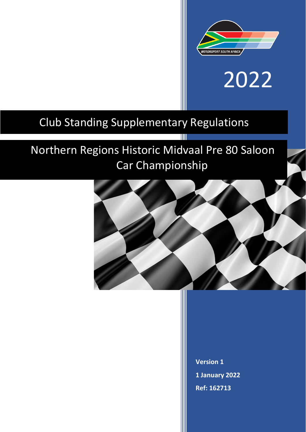

# 2022

### Club Standing Supplementary Regulations

## Northern Regions Historic Midvaal Pre 80 Saloon Car Championship

T



**Version 1 1 January 2022 Ref: 162713**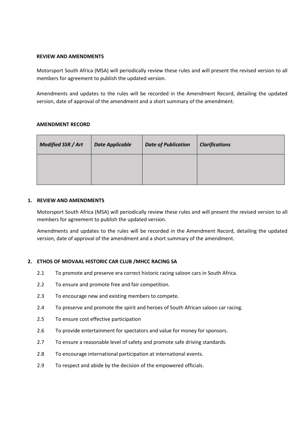#### **REVIEW AND AMENDMENTS**

Motorsport South Africa (MSA) will periodically review these rules and will present the revised version to all members for agreement to publish the updated version.

Amendments and updates to the rules will be recorded in the Amendment Record, detailing the updated version, date of approval of the amendment and a short summary of the amendment.

#### **AMENDMENT RECORD**

| <b>Modified SSR / Art</b> | <b>Date Applicable</b> | <b>Date of Publication</b> | <b>Clarifications</b> |
|---------------------------|------------------------|----------------------------|-----------------------|
|                           |                        |                            |                       |

#### **1. REVIEW AND AMENDMENTS**

Motorsport South Africa (MSA) will periodically review these rules and will present the revised version to all members for agreement to publish the updated version.

Amendments and updates to the rules will be recorded in the Amendment Record, detailing the updated version, date of approval of the amendment and a short summary of the amendment.

#### **2. ETHOS OF MIDVAAL HISTORIC CAR CLUB /MHCC RACING SA**

- 2.1 To promote and preserve era correct historic racing saloon cars in South Africa.
- 2.2 To ensure and promote free and fair competition.
- 2.3 To encourage new and existing members to compete.
- 2.4 To preserve and promote the spirit and heroes of South African saloon car racing.
- 2.5 To ensure cost effective participation
- 2.6 To provide entertainment for spectators and value for money for sponsors.
- 2.7 To ensure a reasonable level of safety and promote safe driving standards.
- 2.8 To encourage international participation at international events.
- 2.9 To respect and abide by the decision of the empowered officials.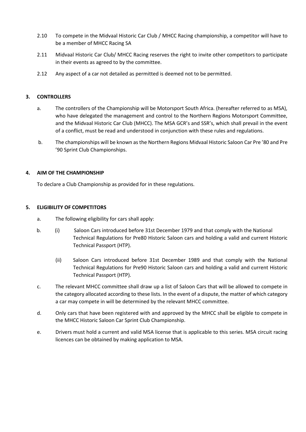- 2.10 To compete in the Midvaal Historic Car Club / MHCC Racing championship, a competitor will have to be a member of MHCC Racing SA
- 2.11 Midvaal Historic Car Club/ MHCC Racing reserves the right to invite other competitors to participate in their events as agreed to by the committee.
- 2.12 Any aspect of a car not detailed as permitted is deemed not to be permitted.

#### **3. CONTROLLERS**

- a. The controllers of the Championship will be Motorsport South Africa. (hereafter referred to as MSA), who have delegated the management and control to the Northern Regions Motorsport Committee, and the Midvaal Historic Car Club (MHCC). The MSA GCR's and SSR's, which shall prevail in the event of a conflict, must be read and understood in conjunction with these rules and regulations.
- b. The championships will be known as the Northern Regions Midvaal Historic Saloon Car Pre '80 and Pre '90 Sprint Club Championships.

#### **4. AIM OF THE CHAMPIONSHIP**

To declare a Club Championship as provided for in these regulations.

#### **5. ELIGIBILITY OF COMPETITORS**

- a. The following eligibility for cars shall apply:
- b. (i) Saloon Cars introduced before 31st December 1979 and that comply with the National Technical Regulations for Pre80 Historic Saloon cars and holding a valid and current Historic Technical Passport (HTP).
	- (ii) Saloon Cars introduced before 31st December 1989 and that comply with the National Technical Regulations for Pre90 Historic Saloon cars and holding a valid and current Historic Technical Passport (HTP).
- c. The relevant MHCC committee shall draw up a list of Saloon Cars that will be allowed to compete in the category allocated according to these lists. In the event of a dispute, the matter of which category a car may compete in will be determined by the relevant MHCC committee.
- d. Only cars that have been registered with and approved by the MHCC shall be eligible to compete in the MHCC Historic Saloon Car Sprint Club Championship.
- e. Drivers must hold a current and valid MSA license that is applicable to this series. MSA circuit racing licences can be obtained by making application to MSA.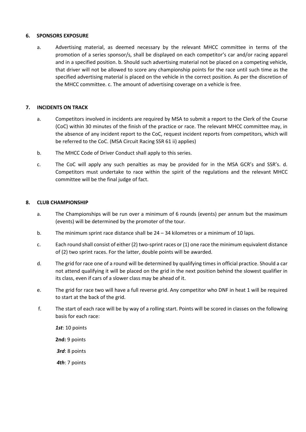#### **6. SPONSORS EXPOSURE**

a. Advertising material, as deemed necessary by the relevant MHCC committee in terms of the promotion of a series sponsor/s, shall be displayed on each competitor's car and/or racing apparel and in a specified position. b. Should such advertising material not be placed on a competing vehicle, that driver will not be allowed to score any championship points for the race until such time as the specified advertising material is placed on the vehicle in the correct position. As per the discretion of the MHCC committee. c. The amount of advertising coverage on a vehicle is free.

#### **7. INCIDENTS ON TRACK**

- a. Competitors involved in incidents are required by MSA to submit a report to the Clerk of the Course (CoC) within 30 minutes of the finish of the practice or race. The relevant MHCC committee may, in the absence of any incident report to the CoC, request incident reports from competitors, which will be referred to the CoC. (MSA Circuit Racing SSR 61 ii) applies)
- b. The MHCC Code of Driver Conduct shall apply to this series.
- c. The CoC will apply any such penalties as may be provided for in the MSA GCR's and SSR's. d. Competitors must undertake to race within the spirit of the regulations and the relevant MHCC committee will be the final judge of fact.

#### **8. CLUB CHAMPIONSHIP**

- a. The Championships will be run over a minimum of 6 rounds (events) per annum but the maximum (events) will be determined by the promoter of the tour.
- b. The minimum sprint race distance shall be  $24 34$  kilometres or a minimum of 10 laps.
- c. Each round shall consist of either (2) two-sprint races or (1) one race the minimum equivalent distance of (2) two sprint races. For the latter, double points will be awarded.
- d. The grid for race one of a round will be determined by qualifying times in official practice. Should a car not attend qualifying it will be placed on the grid in the next position behind the slowest qualifier in its class, even if cars of a slower class may be ahead of it.
- e. The grid for race two will have a full reverse grid. Any competitor who DNF in heat 1 will be required to start at the back of the grid.
- f. The start of each race will be by way of a rolling start. Points will be scored in classes on the following basis for each race:

*1st*: 10 points **2nd:** 9 points

*3rd*: 8 points

*4th*: 7 points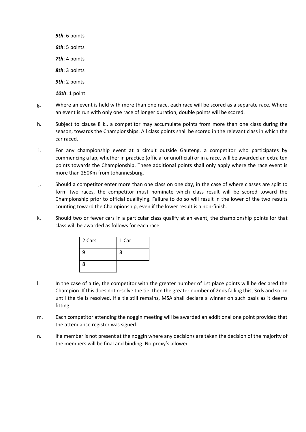*5th*: 6 points *6th*: 5 points *7th*: 4 points *8th*: 3 points *9th*: 2 points *10th*: 1 point

- g. Where an event is held with more than one race, each race will be scored as a separate race. Where an event is run with only one race of longer duration, double points will be scored.
- h. Subject to clause 8 k., a competitor may accumulate points from more than one class during the season, towards the Championships. All class points shall be scored in the relevant class in which the car raced.
- i. For any championship event at a circuit outside Gauteng, a competitor who participates by commencing a lap, whether in practice (official or unofficial) or in a race, will be awarded an extra ten points towards the Championship. These additional points shall only apply where the race event is more than 250Km from Johannesburg.
- j. Should a competitor enter more than one class on one day, in the case of where classes are split to form two races, the competitor must nominate which class result will be scored toward the Championship prior to official qualifying. Failure to do so will result in the lower of the two results counting toward the Championship, even if the lower result is a non-finish.
- k. Should two or fewer cars in a particular class qualify at an event, the championship points for that class will be awarded as follows for each race:

| 2 Cars | 1 Car |
|--------|-------|
| 9      | 8     |
| 8      |       |

- l. In the case of a tie, the competitor with the greater number of 1st place points will be declared the Champion. If this does not resolve the tie, then the greater number of 2nds failing this, 3rds and so on until the tie is resolved. If a tie still remains, MSA shall declare a winner on such basis as it deems fitting.
- m. Each competitor attending the noggin meeting will be awarded an additional one point provided that the attendance register was signed.
- n. If a member is not present at the noggin where any decisions are taken the decision of the majority of the members will be final and binding. No proxy's allowed.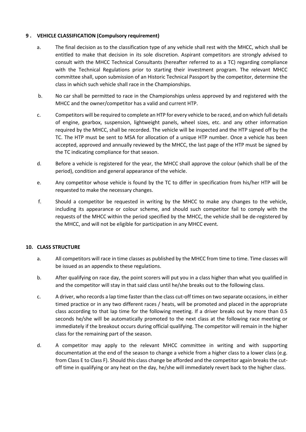#### **9 . VEHICLE CLASSIFICATION (Compulsory requirement)**

- a. The final decision as to the classification type of any vehicle shall rest with the MHCC, which shall be entitled to make that decision in its sole discretion. Aspirant competitors are strongly advised to consult with the MHCC Technical Consultants (hereafter referred to as a TC) regarding compliance with the Technical Regulations prior to starting their investment program. The relevant MHCC committee shall, upon submission of an Historic Technical Passport by the competitor, determine the class in which such vehicle shall race in the Championships.
- b. No car shall be permitted to race in the Championships unless approved by and registered with the MHCC and the owner/competitor has a valid and current HTP.
- c. Competitors will be required to complete an HTP for every vehicle to be raced, and on which full details of engine, gearbox, suspension, lightweight panels, wheel sizes, etc. and any other information required by the MHCC, shall be recorded. The vehicle will be inspected and the HTP signed off by the TC. The HTP must be sent to MSA for allocation of a unique HTP number. Once a vehicle has been accepted, approved and annually reviewed by the MHCC, the last page of the HTP must be signed by the TC indicating compliance for that season.
- d. Before a vehicle is registered for the year, the MHCC shall approve the colour (which shall be of the period), condition and general appearance of the vehicle.
- e. Any competitor whose vehicle is found by the TC to differ in specification from his/her HTP will be requested to make the necessary changes.
- f. Should a competitor be requested in writing by the MHCC to make any changes to the vehicle, including its appearance or colour scheme, and should such competitor fail to comply with the requests of the MHCC within the period specified by the MHCC, the vehicle shall be de-registered by the MHCC, and will not be eligible for participation in any MHCC event.

#### **10. CLASS STRUCTURE**

- a. All competitors will race in time classes as published by the MHCC from time to time. Time classes will be issued as an appendix to these regulations.
- b. After qualifying on race day, the point scorers will put you in a class higher than what you qualified in and the competitor will stay in that said class until he/she breaks out to the following class.
- c. A driver, who records a lap time faster than the class cut-off times on two separate occasions, in either timed practice or in any two different races / heats, will be promoted and placed in the appropriate class according to that lap time for the following meeting. If a driver breaks out by more than 0.5 seconds he/she will be automatically promoted to the next class at the following race meeting or immediately if the breakout occurs during official qualifying. The competitor will remain in the higher class for the remaining part of the season.
- d. A competitor may apply to the relevant MHCC committee in writing and with supporting documentation at the end of the season to change a vehicle from a higher class to a lower class (e.g. from Class E to Class F). Should this class change be afforded and the competitor again breaks the cutoff time in qualifying or any heat on the day, he/she will immediately revert back to the higher class.